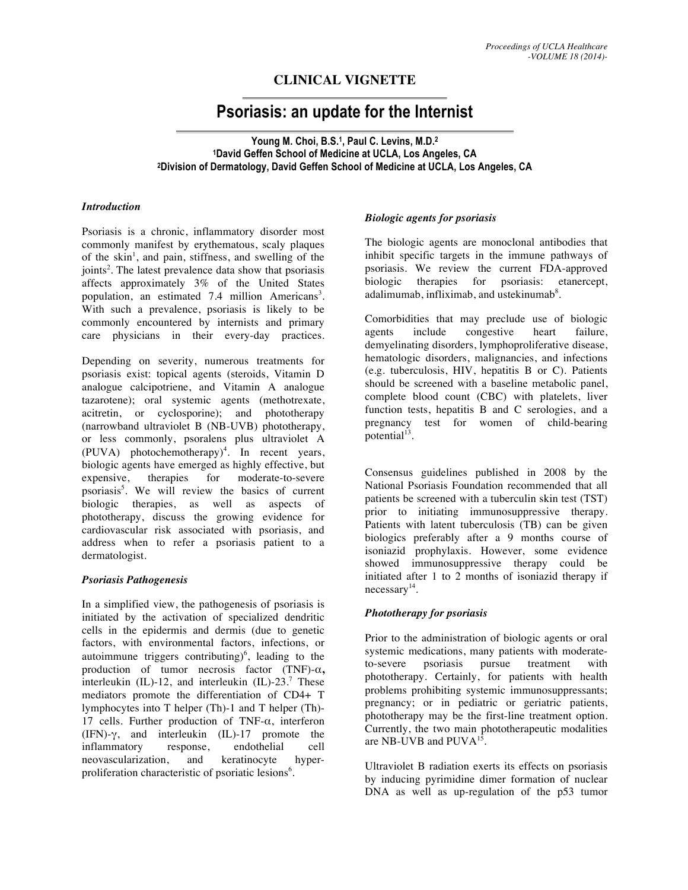# **CLINICAL VIGNETTE**

# **Psoriasis: an update for the Internist**

**Young M. Choi, B.S.1, Paul C. Levins, M.D.2 1David Geffen School of Medicine at UCLA, Los Angeles, CA 2Division of Dermatology, David Geffen School of Medicine at UCLA, Los Angeles, CA**

#### *Introduction*

Psoriasis is a chronic, inflammatory disorder most commonly manifest by erythematous, scaly plaques of the skin<sup>1</sup>, and pain, stiffness, and swelling of the joints<sup>2</sup>. The latest prevalence data show that psoriasis affects approximately 3% of the United States population, an estimated 7.4 million Americans<sup>3</sup>. With such a prevalence, psoriasis is likely to be commonly encountered by internists and primary care physicians in their every-day practices.

Depending on severity, numerous treatments for psoriasis exist: topical agents (steroids, Vitamin D analogue calcipotriene, and Vitamin A analogue tazarotene); oral systemic agents (methotrexate, acitretin, or cyclosporine); and phototherapy (narrowband ultraviolet B (NB-UVB) phototherapy, or less commonly, psoralens plus ultraviolet A  $(PUVA)$  photochemotherapy)<sup>4</sup>. In recent years, biologic agents have emerged as highly effective, but expensive, therapies for moderate-to-severe psoriasis<sup>5</sup>. We will review the basics of current biologic therapies, as well as aspects of phototherapy, discuss the growing evidence for cardiovascular risk associated with psoriasis, and address when to refer a psoriasis patient to a dermatologist.

# *Psoriasis Pathogenesis*

In a simplified view, the pathogenesis of psoriasis is initiated by the activation of specialized dendritic cells in the epidermis and dermis (due to genetic factors, with environmental factors, infections, or autoimmune triggers contributing)<sup>6</sup>, leading to the production of tumor necrosis factor (TNF)-α**,**  interleukin  $(IL)$ -12, and interleukin  $(IL)$ -23.<sup>7</sup> These mediators promote the differentiation of CD4+ T lymphocytes into T helper (Th)-1 and T helper (Th)- 17 cells. Further production of TNF- $\alpha$ , interferon (IFN)-γ, and interleukin (IL)-17 promote the inflammatory response, endothelial cell neovascularization, and keratinocyte hyperproliferation characteristic of psoriatic lesions<sup>6</sup>.

### *Biologic agents for psoriasis*

The biologic agents are monoclonal antibodies that inhibit specific targets in the immune pathways of psoriasis. We review the current FDA-approved biologic therapies for psoriasis: etanercept, adalimumab, infliximab, and ustekinumab<sup>8</sup>.

Comorbidities that may preclude use of biologic agents include congestive heart failure, demyelinating disorders, lymphoproliferative disease, hematologic disorders, malignancies, and infections (e.g. tuberculosis, HIV, hepatitis B or C). Patients should be screened with a baseline metabolic panel, complete blood count (CBC) with platelets, liver function tests, hepatitis B and C serologies, and a pregnancy test for women of child-bearing potential<sup>13</sup>.

Consensus guidelines published in 2008 by the National Psoriasis Foundation recommended that all patients be screened with a tuberculin skin test (TST) prior to initiating immunosuppressive therapy. Patients with latent tuberculosis (TB) can be given biologics preferably after a 9 months course of isoniazid prophylaxis. However, some evidence showed immunosuppressive therapy could be initiated after 1 to 2 months of isoniazid therapy if  $n$ ecessary<sup>14</sup>.

# *Phototherapy for psoriasis*

Prior to the administration of biologic agents or oral systemic medications, many patients with moderateto-severe psoriasis pursue treatment with phototherapy. Certainly, for patients with health problems prohibiting systemic immunosuppressants; pregnancy; or in pediatric or geriatric patients, phototherapy may be the first-line treatment option. Currently, the two main phototherapeutic modalities are NB-UVB and PUVA<sup>15</sup>.

Ultraviolet B radiation exerts its effects on psoriasis by inducing pyrimidine dimer formation of nuclear DNA as well as up-regulation of the p53 tumor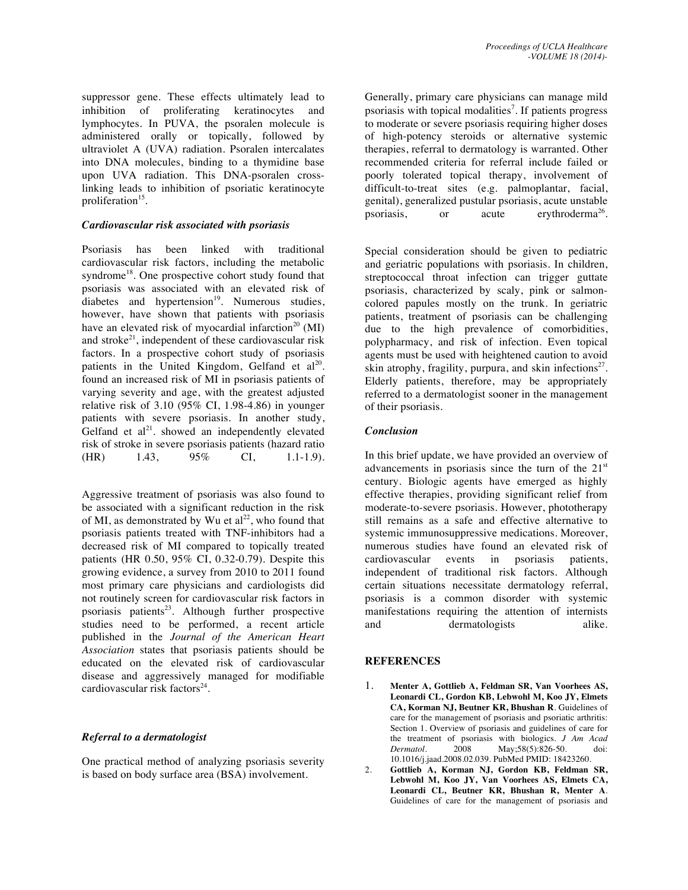suppressor gene. These effects ultimately lead to inhibition of proliferating keratinocytes and lymphocytes. In PUVA, the psoralen molecule is administered orally or topically, followed by ultraviolet A (UVA) radiation. Psoralen intercalates into DNA molecules, binding to a thymidine base upon UVA radiation. This DNA-psoralen crosslinking leads to inhibition of psoriatic keratinocyte proliferation<sup>15</sup>.

#### *Cardiovascular risk associated with psoriasis*

Psoriasis has been linked with traditional cardiovascular risk factors, including the metabolic syndrome<sup>18</sup>. One prospective cohort study found that psoriasis was associated with an elevated risk of diabetes and hypertension<sup>19</sup>. Numerous studies, however, have shown that patients with psoriasis have an elevated risk of myocardial infarction<sup>20</sup> (MI) and stroke<sup>21</sup>, independent of these cardiovascular risk factors. In a prospective cohort study of psoriasis patients in the United Kingdom, Gelfand et al<sup>20</sup>. found an increased risk of MI in psoriasis patients of varying severity and age, with the greatest adjusted relative risk of 3.10 (95% CI, 1.98-4.86) in younger patients with severe psoriasis. In another study, Gelfand et  $al^{21}$ . showed an independently elevated risk of stroke in severe psoriasis patients (hazard ratio (HR) 1.43, 95% CI, 1.1-1.9).

Aggressive treatment of psoriasis was also found to be associated with a significant reduction in the risk of MI, as demonstrated by Wu et  $al^{22}$ , who found that psoriasis patients treated with TNF-inhibitors had a decreased risk of MI compared to topically treated patients (HR 0.50, 95% CI, 0.32-0.79). Despite this growing evidence, a survey from 2010 to 2011 found most primary care physicians and cardiologists did not routinely screen for cardiovascular risk factors in psoriasis patients<sup>23</sup>. Although further prospective studies need to be performed, a recent article published in the *Journal of the American Heart Association* states that psoriasis patients should be educated on the elevated risk of cardiovascular disease and aggressively managed for modifiable cardiovascular risk factors $24$ .

# *Referral to a dermatologist*

One practical method of analyzing psoriasis severity is based on body surface area (BSA) involvement.

Generally, primary care physicians can manage mild psoriasis with topical modalities<sup>7</sup>. If patients progress to moderate or severe psoriasis requiring higher doses of high-potency steroids or alternative systemic therapies, referral to dermatology is warranted. Other recommended criteria for referral include failed or poorly tolerated topical therapy, involvement of difficult-to-treat sites (e.g. palmoplantar, facial, genital), generalized pustular psoriasis, acute unstable psoriasis, or acute erythroderma<sup>26</sup>.

Special consideration should be given to pediatric and geriatric populations with psoriasis. In children, streptococcal throat infection can trigger guttate psoriasis, characterized by scaly, pink or salmoncolored papules mostly on the trunk. In geriatric patients, treatment of psoriasis can be challenging due to the high prevalence of comorbidities, polypharmacy, and risk of infection. Even topical agents must be used with heightened caution to avoid skin atrophy, fragility, purpura, and skin infections<sup>27</sup>. Elderly patients, therefore, may be appropriately referred to a dermatologist sooner in the management of their psoriasis.

#### *Conclusion*

In this brief update, we have provided an overview of advancements in psoriasis since the turn of the  $21<sup>st</sup>$ century. Biologic agents have emerged as highly effective therapies, providing significant relief from moderate-to-severe psoriasis. However, phototherapy still remains as a safe and effective alternative to systemic immunosuppressive medications. Moreover, numerous studies have found an elevated risk of cardiovascular events in psoriasis patients, independent of traditional risk factors. Although certain situations necessitate dermatology referral, psoriasis is a common disorder with systemic manifestations requiring the attention of internists and dermatologists alike.

#### **REFERENCES**

- 1. **Menter A, Gottlieb A, Feldman SR, Van Voorhees AS, Leonardi CL, Gordon KB, Lebwohl M, Koo JY, Elmets CA, Korman NJ, Beutner KR, Bhushan R**. Guidelines of care for the management of psoriasis and psoriatic arthritis: Section 1. Overview of psoriasis and guidelines of care for the treatment of psoriasis with biologics. *J Am Acad Dermatol.* 2008 May:58(5):826-50. doi: *Dermatol*. 2008 May;58(5):826-50. doi: 10.1016/j.jaad.2008.02.039. PubMed PMID: 18423260.
- 2. **Gottlieb A, Korman NJ, Gordon KB, Feldman SR, Lebwohl M, Koo JY, Van Voorhees AS, Elmets CA, Leonardi CL, Beutner KR, Bhushan R, Menter A**. Guidelines of care for the management of psoriasis and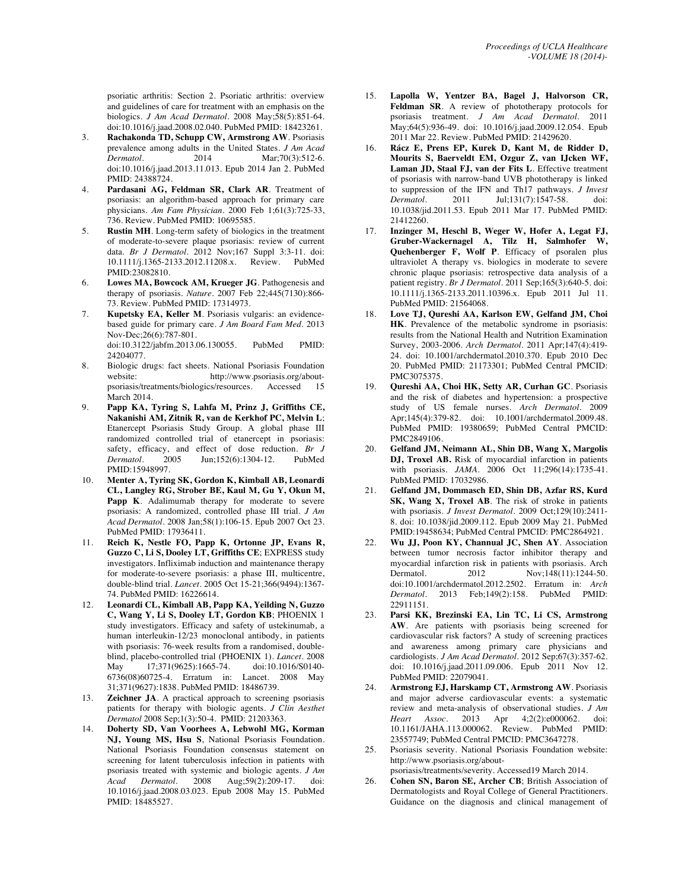psoriatic arthritis: Section 2. Psoriatic arthritis: overview and guidelines of care for treatment with an emphasis on the biologics. *J Am Acad Dermatol*. 2008 May;58(5):851-64. doi:10.1016/j.jaad.2008.02.040. PubMed PMID: 18423261.

- 3. **Rachakonda TD, Schupp CW, Armstrong AW**. Psoriasis prevalence among adults in the United States. *J Am Acad Dermatol*. 2014 Mar;70(3):512-6. doi:10.1016/j.jaad.2013.11.013. Epub 2014 Jan 2. PubMed PMID: 24388724.
- 4. **Pardasani AG, Feldman SR, Clark AR**. Treatment of psoriasis: an algorithm-based approach for primary care physicians. *Am Fam Physician*. 2000 Feb 1;61(3):725-33, 736. Review. PubMed PMID: 10695585.
- 5. **Rustin MH**. Long-term safety of biologics in the treatment of moderate-to-severe plaque psoriasis: review of current data. *Br J Dermatol*. 2012 Nov;167 Suppl 3:3-11. doi: 10.1111/j.1365-2133.2012.11208.x. Review. PubMed PMID:23082810.
- 6. **Lowes MA, Bowcock AM, Krueger JG**. Pathogenesis and therapy of psoriasis. *Nature*. 2007 Feb 22;445(7130):866- 73. Review. PubMed PMID: 17314973.
- 7. **Kupetsky EA, Keller M**. Psoriasis vulgaris: an evidencebased guide for primary care. *J Am Board Fam Med*. 2013 Nov-Dec;26(6):787-801. doi:10.3122/jabfm.2013.06.130055. PubMed PMID: 24204077.
- 8. Biologic drugs: fact sheets. National Psoriasis Foundation website: http://www.psoriasis.org/aboutpsoriasis/treatments/biologics/resources. Accessed 15 March 2014.
- 9. **Papp KA, Tyring S, Lahfa M, Prinz J, Griffiths CE, Nakanishi AM, Zitnik R, van de Kerkhof PC, Melvin L**; Etanercept Psoriasis Study Group. A global phase III randomized controlled trial of etanercept in psoriasis: safety, efficacy, and effect of dose reduction. *Br J Dermatol*. 2005 Jun;152(6):1304-12. PubMed PMID:15948997.
- 10. **Menter A, Tyring SK, Gordon K, Kimball AB, Leonardi CL, Langley RG, Strober BE, Kaul M, Gu Y, Okun M,**  Papp K. Adalimumab therapy for moderate to severe psoriasis: A randomized, controlled phase III trial. *J Am Acad Dermatol*. 2008 Jan;58(1):106-15. Epub 2007 Oct 23. PubMed PMID: 17936411.
- 11. **Reich K, Nestle FO, Papp K, Ortonne JP, Evans R, Guzzo C, Li S, Dooley LT, Griffiths CE**; EXPRESS study investigators. Infliximab induction and maintenance therapy for moderate-to-severe psoriasis: a phase III, multicentre, double-blind trial. *Lancet*. 2005 Oct 15-21;366(9494):1367- 74. PubMed PMID: 16226614.
- 12. **Leonardi CL, Kimball AB, Papp KA, Yeilding N, Guzzo C, Wang Y, Li S, Dooley LT, Gordon KB**; PHOENIX 1 study investigators. Efficacy and safety of ustekinumab, a human interleukin-12/23 monoclonal antibody, in patients with psoriasis: 76-week results from a randomised, doubleblind, placebo-controlled trial (PHOENIX 1). *Lancet*. 2008 May 17;371(9625):1665-74. 6736(08)60725-4. Erratum in: Lancet. 2008 May 31;371(9627):1838. PubMed PMID: 18486739.
- 13. **Zeichner JA**. A practical approach to screening psoriasis patients for therapy with biologic agents. *J Clin Aesthet Dermatol* 2008 Sep;1(3):50-4. PMID: 21203363.
- 14. **Doherty SD, Van Voorhees A, Lebwohl MG, Korman NJ, Young MS, Hsu S**, National Psoriasis Foundation. National Psoriasis Foundation consensus statement on screening for latent tuberculosis infection in patients with psoriasis treated with systemic and biologic agents. *J Am Acad Dermatol*. 2008 Aug;59(2):209-17. doi: 10.1016/j.jaad.2008.03.023. Epub 2008 May 15. PubMed PMID: 18485527.
- 15. **Lapolla W, Yentzer BA, Bagel J, Halvorson CR, Feldman SR**. A review of phototherapy protocols for psoriasis treatment. *J Am Acad Dermatol*. 2011 May;64(5):936-49. doi: 10.1016/j.jaad.2009.12.054. Epub 2011 Mar 22. Review. PubMed PMID: 21429620.
- 16. **Rácz E, Prens EP, Kurek D, Kant M, de Ridder D, Mourits S, Baerveldt EM, Ozgur Z, van IJcken WF, Laman JD, Staal FJ, van der Fits L**. Effective treatment of psoriasis with narrow-band UVB phototherapy is linked to suppression of the IFN and Th17 pathways. *J Invest Jul*;131(7):1547-58. doi: 10.1038/jid.2011.53. Epub 2011 Mar 17. PubMed PMID: 21412260.
- 17. **Inzinger M, Heschl B, Weger W, Hofer A, Legat FJ, Gruber-Wackernagel A, Tilz H, Salmhofer W, Quehenberger F, Wolf P**. Efficacy of psoralen plus ultraviolet A therapy vs. biologics in moderate to severe chronic plaque psoriasis: retrospective data analysis of a patient registry. *Br J Dermatol*. 2011 Sep;165(3):640-5. doi: 10.1111/j.1365-2133.2011.10396.x. Epub 2011 Jul 11. PubMed PMID: 21564068.
- 18. **Love TJ, Qureshi AA, Karlson EW, Gelfand JM, Choi HK**. Prevalence of the metabolic syndrome in psoriasis: results from the National Health and Nutrition Examination Survey, 2003-2006. *Arch Dermatol*. 2011 Apr;147(4):419- 24. doi: 10.1001/archdermatol.2010.370. Epub 2010 Dec 20. PubMed PMID: 21173301; PubMed Central PMCID: PMC3075375.
- 19. **Qureshi AA, Choi HK, Setty AR, Curhan GC**. Psoriasis and the risk of diabetes and hypertension: a prospective study of US female nurses. *Arch Dermatol*. 2009 Apr;145(4):379-82. doi: 10.1001/archdermatol.2009.48. PubMed PMID: 19380659; PubMed Central PMCID: PMC2849106.
- 20. **Gelfand JM, Neimann AL, Shin DB, Wang X, Margolis DJ, Troxel AB.** Risk of myocardial infarction in patients with psoriasis. *JAMA*. 2006 Oct 11;296(14):1735-41. PubMed PMID: 17032986.
- 21. **Gelfand JM, Dommasch ED, Shin DB, Azfar RS, Kurd SK, Wang X, Troxel AB**. The risk of stroke in patients with psoriasis. *J Invest Dermatol*. 2009 Oct;129(10):2411- 8. doi: 10.1038/jid.2009.112. Epub 2009 May 21. PubMed PMID:19458634; PubMed Central PMCID: PMC2864921.
- 22. **Wu JJ, Poon KY, Channual JC, Shen AY**. Association between tumor necrosis factor inhibitor therapy and myocardial infarction risk in patients with psoriasis. Arch<br>Dermatol. 2012 Nov:148(11):1244-50. Nov;148(11):1244-50. doi:10.1001/archdermatol.2012.2502. Erratum in: *Arch Dermatol*. 2013 Feb;149(2):158. PubMed PMID: 22911151.
- 23. **Parsi KK, Brezinski EA, Lin TC, Li CS, Armstrong AW**. Are patients with psoriasis being screened for cardiovascular risk factors? A study of screening practices and awareness among primary care physicians and cardiologists. *J Am Acad Dermatol*. 2012 Sep;67(3):357-62. doi: 10.1016/j.jaad.2011.09.006. Epub 2011 Nov 12. PubMed PMID: 22079041.
- 24. **Armstrong EJ, Harskamp CT, Armstrong AW**. Psoriasis and major adverse cardiovascular events: a systematic review and meta-analysis of observational studies. *J Am Heart Assoc.* 2013 Apr 4;2(2):e000062. 10.1161/JAHA.113.000062. Review. PubMed PMID: 23557749; PubMed Central PMCID: PMC3647278.
- 25. Psoriasis severity. National Psoriasis Foundation website: http://www.psoriasis.org/about-
- psoriasis/treatments/severity. Accessed19 March 2014. 26. **Cohen SN, Baron SE, Archer CB**; British Association of Dermatologists and Royal College of General Practitioners. Guidance on the diagnosis and clinical management of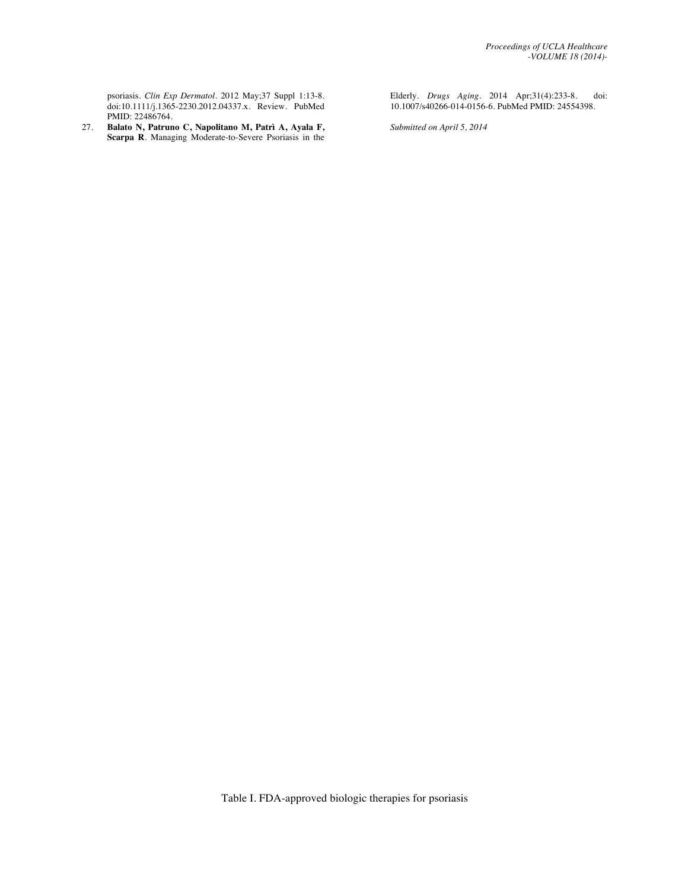psoriasis. *Clin Exp Dermatol*. 2012 May;37 Suppl 1:13-8. doi:10.1111/j.1365-2230.2012.04337.x. Review. PubMed PMID: 22486764.

27. **Balato N, Patruno C, Napolitano M, Patrì A, Ayala F, Scarpa R**. Managing Moderate-to-Severe Psoriasis in the

Elderly. *Drugs Aging*. 2014 Apr;31(4):233-8. doi: 10.1007/s40266-014-0156-6. PubMed PMID: 24554398.

*Submitted on April 5, 2014*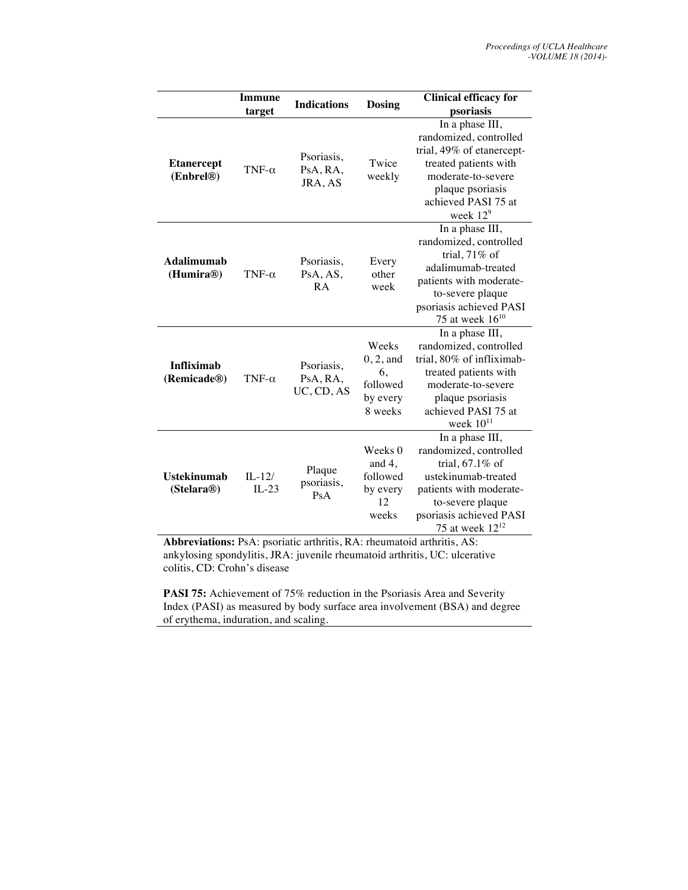|                                  | <b>Immune</b><br>target | <b>Indications</b>                   | <b>Dosing</b>                                                 | <b>Clinical efficacy for</b><br>psoriasis                                                                                                                                                |
|----------------------------------|-------------------------|--------------------------------------|---------------------------------------------------------------|------------------------------------------------------------------------------------------------------------------------------------------------------------------------------------------|
| <b>Etanercept</b><br>(Enbrel®)   | TNF- $\alpha$           | Psoriasis,<br>PsA, RA,<br>JRA, AS    | Twice<br>weekly                                               | In a phase III,<br>randomized, controlled<br>trial, 49% of etanercept-<br>treated patients with<br>moderate-to-severe<br>plaque psoriasis<br>achieved PASI 75 at<br>week 12 <sup>9</sup> |
| <b>Adalimumab</b><br>(Humira®)   | TNF- $\alpha$           | Psoriasis,<br>PsA, AS,<br><b>RA</b>  | Every<br>other<br>week                                        | In a phase III,<br>randomized, controlled<br>trial, 71% of<br>adalimumab-treated<br>patients with moderate-<br>to-severe plaque<br>psoriasis achieved PASI<br>75 at week $16^{10}$       |
| <b>Infliximab</b><br>(Remicade®) | TNF- $\alpha$           | Psoriasis,<br>PsA, RA,<br>UC, CD, AS | Weeks<br>$0, 2,$ and<br>6.<br>followed<br>by every<br>8 weeks | In a phase III,<br>randomized, controlled<br>trial, 80% of infliximab-<br>treated patients with<br>moderate-to-severe<br>plaque psoriasis<br>achieved PASI 75 at<br>week $10^{11}$       |
| <b>Ustekinumab</b><br>(Stelara@) | $II - 12$ /<br>$IL-23$  | Plaque<br>psoriasis,<br>PsA          | Weeks 0<br>and $4$ ,<br>followed<br>by every<br>12<br>weeks   | In a phase III,<br>randomized, controlled<br>trial, 67.1% of<br>ustekinumab-treated<br>patients with moderate-<br>to-severe plaque<br>psoriasis achieved PASI<br>75 at week $12^{12}$    |

**Abbreviations:** PsA: psoriatic arthritis, RA: rheumatoid arthritis, AS: ankylosing spondylitis, JRA: juvenile rheumatoid arthritis, UC: ulcerative colitis, CD: Crohn's disease

**PASI 75:** Achievement of 75% reduction in the Psoriasis Area and Severity Index (PASI) as measured by body surface area involvement (BSA) and degree of erythema, induration, and scaling.